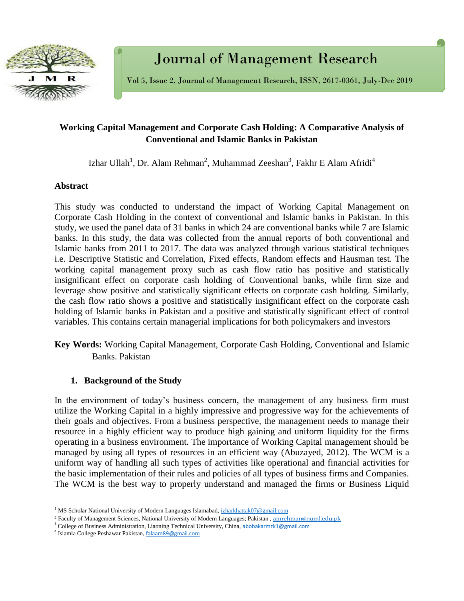

Journal of Management Research

Vol 5, Issue 2, Journal of Management Research, ISSN, 2617-0361, July-Dec 2019

## **Working Capital Management and Corporate Cash Holding: A Comparative Analysis of Conventional and Islamic Banks in Pakistan**

Izhar Ullah<sup>1</sup>, Dr. Alam Rehman<sup>2</sup>, Muhammad Zeeshan<sup>3</sup>, Fakhr E Alam Afridi<sup>4</sup>

#### **Abstract**

This study was conducted to understand the impact of Working Capital Management on Corporate Cash Holding in the context of conventional and Islamic banks in Pakistan. In this study, we used the panel data of 31 banks in which 24 are conventional banks while 7 are Islamic banks. In this study, the data was collected from the annual reports of both conventional and Islamic banks from 2011 to 2017. The data was analyzed through various statistical techniques i.e. Descriptive Statistic and Correlation, Fixed effects, Random effects and Hausman test. The working capital management proxy such as cash flow ratio has positive and statistically insignificant effect on corporate cash holding of Conventional banks, while firm size and leverage show positive and statistically significant effects on corporate cash holding. Similarly, the cash flow ratio shows a positive and statistically insignificant effect on the corporate cash holding of Islamic banks in Pakistan and a positive and statistically significant effect of control variables. This contains certain managerial implications for both policymakers and investors

**Key Words:** Working Capital Management, Corporate Cash Holding, Conventional and Islamic Banks. Pakistan

## **1. Background of the Study**

In the environment of today's business concern, the management of any business firm must utilize the Working Capital in a highly impressive and progressive way for the achievements of their goals and objectives. From a business perspective, the management needs to manage their resource in a highly efficient way to produce high gaining and uniform liquidity for the firms operating in a business environment. The importance of Working Capital management should be managed by using all types of resources in an efficient way (Abuzayed, 2012). The WCM is a uniform way of handling all such types of activities like operational and financial activities for the basic implementation of their rules and policies of all types of business firms and Companies. The WCM is the best way to properly understand and managed the firms or Business Liquid

l

<sup>&</sup>lt;sup>1</sup> MS Scholar National University of Modern Languages Islamabad[, izharkhattak07@gmail.com](mailto:izharkhattak07@gmail.com)

<sup>&</sup>lt;sup>2</sup> Faculty of Management Sciences, National University of Modern Languages; Pakistan, [amrehman@numl.edu.pk](mailto:amrehman@numl.edu.pk)

<sup>&</sup>lt;sup>3</sup> College of Business Administration, Liaoning Technical University, China, [abobakarmzk1@gmail.com](mailto:abobakarmzk1@gmail.com)

<sup>&</sup>lt;sup>4</sup> Islamia College Peshawar Pakistan, [falaam89@gmail.com](mailto:falaam89@gmail.com)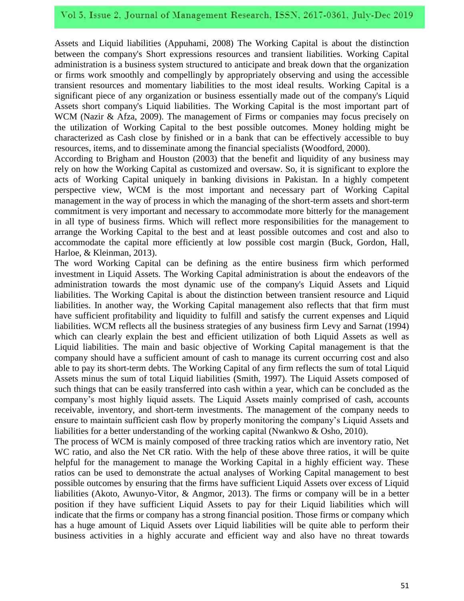# Vol 5, Issue 2, Journal of Management Research, ISSN, 2617-0361, July-Dec 2019

Assets and Liquid liabilities (Appuhami, 2008) The Working Capital is about the distinction between the company's Short expressions resources and transient liabilities. Working Capital administration is a business system structured to anticipate and break down that the organization or firms work smoothly and compellingly by appropriately observing and using the accessible transient resources and momentary liabilities to the most ideal results. Working Capital is a significant piece of any organization or business essentially made out of the company's Liquid Assets short company's Liquid liabilities. The Working Capital is the most important part of WCM (Nazir & Afza, 2009). The management of Firms or companies may focus precisely on the utilization of Working Capital to the best possible outcomes. Money holding might be characterized as Cash close by finished or in a bank that can be effectively accessible to buy resources, items, and to disseminate among the financial specialists (Woodford, 2000).

According to Brigham and Houston (2003) that the benefit and liquidity of any business may rely on how the Working Capital as customized and oversaw. So, it is significant to explore the acts of Working Capital uniquely in banking divisions in Pakistan. In a highly competent perspective view, WCM is the most important and necessary part of Working Capital management in the way of process in which the managing of the short-term assets and short-term commitment is very important and necessary to accommodate more bitterly for the management in all type of business firms. Which will reflect more responsibilities for the management to arrange the Working Capital to the best and at least possible outcomes and cost and also to accommodate the capital more efficiently at low possible cost margin (Buck, Gordon, Hall, Harloe, & Kleinman, 2013).

The word Working Capital can be defining as the entire business firm which performed investment in Liquid Assets. The Working Capital administration is about the endeavors of the administration towards the most dynamic use of the company's Liquid Assets and Liquid liabilities. The Working Capital is about the distinction between transient resource and Liquid liabilities. In another way, the Working Capital management also reflects that that firm must have sufficient profitability and liquidity to fulfill and satisfy the current expenses and Liquid liabilities. WCM reflects all the business strategies of any business firm Levy and Sarnat (1994) which can clearly explain the best and efficient utilization of both Liquid Assets as well as Liquid liabilities. The main and basic objective of Working Capital management is that the company should have a sufficient amount of cash to manage its current occurring cost and also able to pay its short-term debts. The Working Capital of any firm reflects the sum of total Liquid Assets minus the sum of total Liquid liabilities (Smith, 1997). The Liquid Assets composed of such things that can be easily transferred into cash within a year, which can be concluded as the company's most highly liquid assets. The Liquid Assets mainly comprised of cash, accounts receivable, inventory, and short-term investments. The management of the company needs to ensure to maintain sufficient cash flow by properly monitoring the company's Liquid Assets and liabilities for a better understanding of the working capital (Nwankwo & Osho, 2010).

The process of WCM is mainly composed of three tracking ratios which are inventory ratio, Net WC ratio, and also the Net CR ratio. With the help of these above three ratios, it will be quite helpful for the management to manage the Working Capital in a highly efficient way. These ratios can be used to demonstrate the actual analyses of Working Capital management to best possible outcomes by ensuring that the firms have sufficient Liquid Assets over excess of Liquid liabilities (Akoto, Awunyo-Vitor, & Angmor, 2013). The firms or company will be in a better position if they have sufficient Liquid Assets to pay for their Liquid liabilities which will indicate that the firms or company has a strong financial position. Those firms or company which has a huge amount of Liquid Assets over Liquid liabilities will be quite able to perform their business activities in a highly accurate and efficient way and also have no threat towards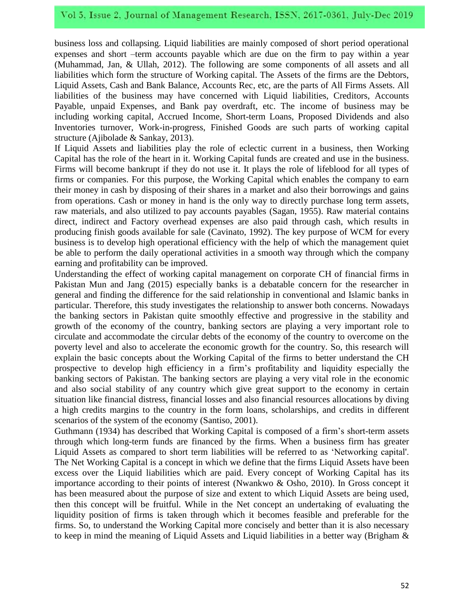business loss and collapsing. Liquid liabilities are mainly composed of short period operational expenses and short –term accounts payable which are due on the firm to pay within a year (Muhammad, Jan, & Ullah, 2012). The following are some components of all assets and all liabilities which form the structure of Working capital. The Assets of the firms are the Debtors, Liquid Assets, Cash and Bank Balance, Accounts Rec, etc, are the parts of All Firms Assets. All liabilities of the business may have concerned with Liquid liabilities, Creditors, Accounts Payable, unpaid Expenses, and Bank pay overdraft, etc. The income of business may be including working capital, Accrued Income, Short-term Loans, Proposed Dividends and also Inventories turnover, Work-in-progress, Finished Goods are such parts of working capital structure (Ajibolade & Sankay, 2013).

If Liquid Assets and liabilities play the role of eclectic current in a business, then Working Capital has the role of the heart in it. Working Capital funds are created and use in the business. Firms will become bankrupt if they do not use it. It plays the role of lifeblood for all types of firms or companies. For this purpose, the Working Capital which enables the company to earn their money in cash by disposing of their shares in a market and also their borrowings and gains from operations. Cash or money in hand is the only way to directly purchase long term assets, raw materials, and also utilized to pay accounts payables (Sagan, 1955). Raw material contains direct, indirect and Factory overhead expenses are also paid through cash, which results in producing finish goods available for sale (Cavinato, 1992). The key purpose of WCM for every business is to develop high operational efficiency with the help of which the management quiet be able to perform the daily operational activities in a smooth way through which the company earning and profitability can be improved.

Understanding the effect of working capital management on corporate CH of financial firms in Pakistan Mun and Jang (2015) especially banks is a debatable concern for the researcher in general and finding the difference for the said relationship in conventional and Islamic banks in particular. Therefore, this study investigates the relationship to answer both concerns. Nowadays the banking sectors in Pakistan quite smoothly effective and progressive in the stability and growth of the economy of the country, banking sectors are playing a very important role to circulate and accommodate the circular debts of the economy of the country to overcome on the poverty level and also to accelerate the economic growth for the country. So, this research will explain the basic concepts about the Working Capital of the firms to better understand the CH prospective to develop high efficiency in a firm's profitability and liquidity especially the banking sectors of Pakistan. The banking sectors are playing a very vital role in the economic and also social stability of any country which give great support to the economy in certain situation like financial distress, financial losses and also financial resources allocations by diving a high credits margins to the country in the form loans, scholarships, and credits in different scenarios of the system of the economy (Santiso, 2001).

Guthmann (1934) has described that Working Capital is composed of a firm's short-term assets through which long-term funds are financed by the firms. When a business firm has greater Liquid Assets as compared to short term liabilities will be referred to as 'Networking capital'. The Net Working Capital is a concept in which we define that the firms Liquid Assets have been excess over the Liquid liabilities which are paid. Every concept of Working Capital has its importance according to their points of interest (Nwankwo & Osho, 2010). In Gross concept it has been measured about the purpose of size and extent to which Liquid Assets are being used, then this concept will be fruitful. While in the Net concept an undertaking of evaluating the liquidity position of firms is taken through which it becomes feasible and preferable for the firms. So, to understand the Working Capital more concisely and better than it is also necessary to keep in mind the meaning of Liquid Assets and Liquid liabilities in a better way (Brigham &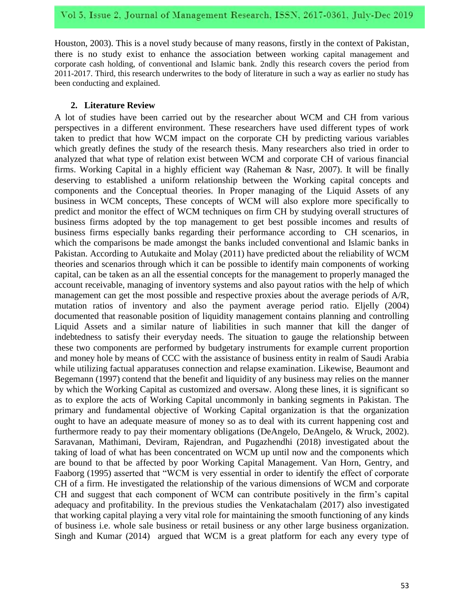Houston, 2003). This is a novel study because of many reasons, firstly in the context of Pakistan, there is no study exist to enhance the association between working capital management and corporate cash holding, of conventional and Islamic bank. 2ndly this research covers the period from 2011-2017. Third, this research underwrites to the body of literature in such a way as earlier no study has been conducting and explained.

#### **2. Literature Review**

A lot of studies have been carried out by the researcher about WCM and CH from various perspectives in a different environment. These researchers have used different types of work taken to predict that how WCM impact on the corporate CH by predicting various variables which greatly defines the study of the research thesis. Many researchers also tried in order to analyzed that what type of relation exist between WCM and corporate CH of various financial firms. Working Capital in a highly efficient way (Raheman & Nasr, 2007). It will be finally deserving to established a uniform relationship between the Working capital concepts and components and the Conceptual theories. In Proper managing of the Liquid Assets of any business in WCM concepts, These concepts of WCM will also explore more specifically to predict and monitor the effect of WCM techniques on firm CH by studying overall structures of business firms adopted by the top management to get best possible incomes and results of business firms especially banks regarding their performance according to CH scenarios, in which the comparisons be made amongst the banks included conventional and Islamic banks in Pakistan. According to Autukaite and Molay (2011) have predicted about the reliability of WCM theories and scenarios through which it can be possible to identify main components of working capital, can be taken as an all the essential concepts for the management to properly managed the account receivable, managing of inventory systems and also payout ratios with the help of which management can get the most possible and respective proxies about the average periods of A/R, mutation ratios of inventory and also the payment average period ratio. Eljelly (2004) documented that reasonable position of liquidity management contains planning and controlling Liquid Assets and a similar nature of liabilities in such manner that kill the danger of indebtedness to satisfy their everyday needs. The situation to gauge the relationship between these two components are performed by budgetary instruments for example current proportion and money hole by means of CCC with the assistance of business entity in realm of Saudi Arabia while utilizing factual apparatuses connection and relapse examination. Likewise, Beaumont and Begemann (1997) contend that the benefit and liquidity of any business may relies on the manner by which the Working Capital as customized and oversaw. Along these lines, it is significant so as to explore the acts of Working Capital uncommonly in banking segments in Pakistan. The primary and fundamental objective of Working Capital organization is that the organization ought to have an adequate measure of money so as to deal with its current happening cost and furthermore ready to pay their momentary obligations (DeAngelo, DeAngelo, & Wruck, 2002). Saravanan, Mathimani, Deviram, Rajendran, and Pugazhendhi (2018) investigated about the taking of load of what has been concentrated on WCM up until now and the components which are bound to that be affected by poor Working Capital Management. Van Horn, Gentry, and Faaborg (1995) asserted that "WCM is very essential in order to identify the effect of corporate CH of a firm. He investigated the relationship of the various dimensions of WCM and corporate CH and suggest that each component of WCM can contribute positively in the firm's capital adequacy and profitability. In the previous studies the Venkatachalam (2017) also investigated that working capital playing a very vital role for maintaining the smooth functioning of any kinds of business i.e. whole sale business or retail business or any other large business organization. Singh and Kumar (2014) argued that WCM is a great platform for each any every type of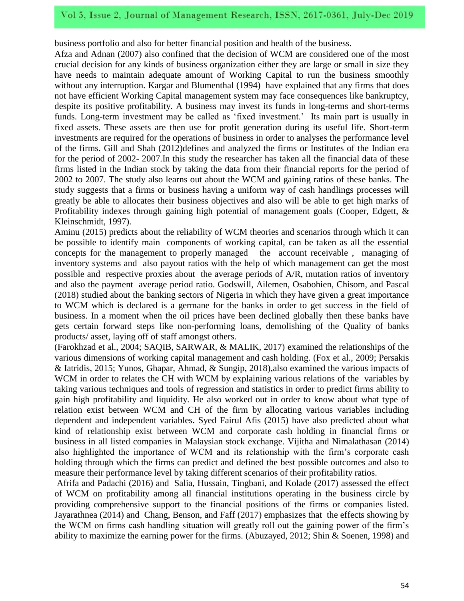business portfolio and also for better financial position and health of the business.

Afza and Adnan (2007) also confined that the decision of WCM are considered one of the most crucial decision for any kinds of business organization either they are large or small in size they have needs to maintain adequate amount of Working Capital to run the business smoothly without any interruption. Kargar and Blumenthal (1994) have explained that any firms that does not have efficient Working Capital management system may face consequences like bankruptcy, despite its positive profitability. A business may invest its funds in long-terms and short-terms funds. Long-term investment may be called as 'fixed investment.' Its main part is usually in fixed assets. These assets are then use for profit generation during its useful life. Short-term investments are required for the operations of business in order to analyses the performance level of the firms. Gill and Shah (2012)defines and analyzed the firms or Institutes of the Indian era for the period of 2002- 2007.In this study the researcher has taken all the financial data of these firms listed in the Indian stock by taking the data from their financial reports for the period of 2002 to 2007. The study also learns out about the WCM and gaining ratios of these banks. The study suggests that a firms or business having a uniform way of cash handlings processes will greatly be able to allocates their business objectives and also will be able to get high marks of Profitability indexes through gaining high potential of management goals (Cooper, Edgett, & Kleinschmidt, 1997).

Aminu (2015) predicts about the reliability of WCM theories and scenarios through which it can be possible to identify main components of working capital, can be taken as all the essential concepts for the management to properly managed the account receivable , managing of inventory systems and also payout ratios with the help of which management can get the most possible and respective proxies about the average periods of A/R, mutation ratios of inventory and also the payment average period ratio. Godswill, Ailemen, Osabohien, Chisom, and Pascal (2018) studied about the banking sectors of Nigeria in which they have given a great importance to WCM which is declared is a germane for the banks in order to get success in the field of business. In a moment when the oil prices have been declined globally then these banks have gets certain forward steps like non-performing loans, demolishing of the Quality of banks products/ asset, laying off of staff amongst others.

(Farokhzad et al., 2004; SAQIB, SARWAR, & MALIK, 2017) examined the relationships of the various dimensions of working capital management and cash holding. (Fox et al., 2009; Persakis & Iatridis, 2015; Yunos, Ghapar, Ahmad, & Sungip, 2018),also examined the various impacts of WCM in order to relates the CH with WCM by explaining various relations of the variables by taking various techniques and tools of regression and statistics in order to predict firms ability to gain high profitability and liquidity. He also worked out in order to know about what type of relation exist between WCM and CH of the firm by allocating various variables including dependent and independent variables. Syed Fairul Afis (2015) have also predicted about what kind of relationship exist between WCM and corporate cash holding in financial firms or business in all listed companies in Malaysian stock exchange. Vijitha and Nimalathasan (2014) also highlighted the importance of WCM and its relationship with the firm's corporate cash holding through which the firms can predict and defined the best possible outcomes and also to measure their performance level by taking different scenarios of their profitability ratios.

Afrifa and Padachi (2016) and Salia, Hussain, Tingbani, and Kolade (2017) assessed the effect of WCM on profitability among all financial institutions operating in the business circle by providing comprehensive support to the financial positions of the firms or companies listed. Jayarathnea (2014) and Chang, Benson, and Faff (2017) emphasizes that the effects showing by the WCM on firms cash handling situation will greatly roll out the gaining power of the firm's ability to maximize the earning power for the firms. (Abuzayed, 2012; Shin & Soenen, 1998) and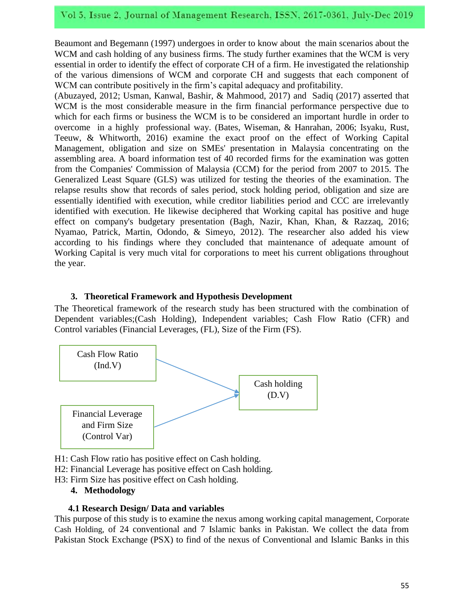Beaumont and Begemann (1997) undergoes in order to know about the main scenarios about the WCM and cash holding of any business firms. The study further examines that the WCM is very essential in order to identify the effect of corporate CH of a firm. He investigated the relationship of the various dimensions of WCM and corporate CH and suggests that each component of WCM can contribute positively in the firm's capital adequacy and profitability.

(Abuzayed, 2012; Usman, Kanwal, Bashir, & Mahmood, 2017) and Sadiq (2017) asserted that WCM is the most considerable measure in the firm financial performance perspective due to which for each firms or business the WCM is to be considered an important hurdle in order to overcome in a highly professional way. (Bates, Wiseman, & Hanrahan, 2006; Isyaku, Rust, Teeuw, & Whitworth, 2016) examine the exact proof on the effect of Working Capital Management, obligation and size on SMEs' presentation in Malaysia concentrating on the assembling area. A board information test of 40 recorded firms for the examination was gotten from the Companies' Commission of Malaysia (CCM) for the period from 2007 to 2015. The Generalized Least Square (GLS) was utilized for testing the theories of the examination. The relapse results show that records of sales period, stock holding period, obligation and size are essentially identified with execution, while creditor liabilities period and CCC are irrelevantly identified with execution. He likewise deciphered that Working capital has positive and huge effect on company's budgetary presentation (Bagh, Nazir, Khan, Khan, & Razzaq, 2016; Nyamao, Patrick, Martin, Odondo, & Simeyo, 2012). The researcher also added his view according to his findings where they concluded that maintenance of adequate amount of Working Capital is very much vital for corporations to meet his current obligations throughout the year.

## **3. Theoretical Framework and Hypothesis Development**

The Theoretical framework of the research study has been structured with the combination of Dependent variables;(Cash Holding), Independent variables; Cash Flow Ratio (CFR) and Control variables (Financial Leverages, (FL), Size of the Firm (FS).



H1: Cash Flow ratio has positive effect on Cash holding.

H2: Financial Leverage has positive effect on Cash holding.

H3: Firm Size has positive effect on Cash holding.

#### **4. Methodology**

#### **4.1 Research Design/ Data and variables**

This purpose of this study is to examine the nexus among working capital management, Corporate Cash Holding, of 24 conventional and 7 Islamic banks in Pakistan. We collect the data from Pakistan Stock Exchange (PSX) to find of the nexus of Conventional and Islamic Banks in this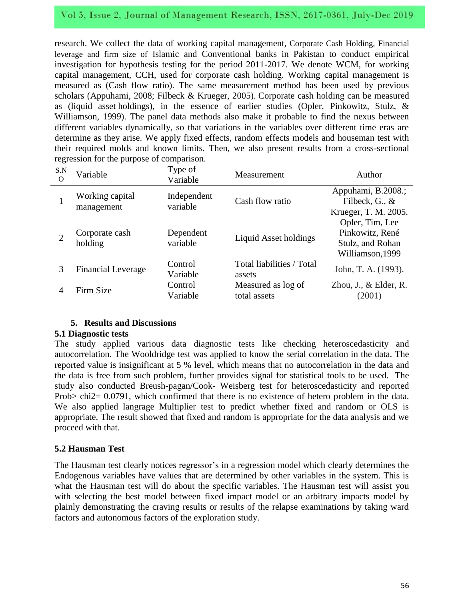# Vol 5, Issue 2, Journal of Management Research, ISSN, 2617-0361, July-Dec 2019

research. We collect the data of working capital management, Corporate Cash Holding, Financial leverage and firm size of Islamic and Conventional banks in Pakistan to conduct empirical investigation for hypothesis testing for the period 2011-2017. We denote WCM, for working capital management, CCH, used for corporate cash holding. Working capital management is measured as (Cash flow ratio). The same measurement method has been used by previous scholars (Appuhami, 2008; Filbeck & Krueger, 2005). Corporate cash holding can be measured as (liquid asset holdings), in the essence of earlier studies (Opler, Pinkowitz, Stulz, & Williamson, 1999). The panel data methods also make it probable to find the nexus between different variables dynamically, so that variations in the variables over different time eras are determine as they arise. We apply fixed effects, random effects models and houseman test with their required molds and known limits. Then, we also present results from a cross-sectional regression for the purpose of comparison.

| S.N<br>$\Omega$ | Variable                      | Type of<br>Variable     | Measurement                         | Author                                                                     |
|-----------------|-------------------------------|-------------------------|-------------------------------------|----------------------------------------------------------------------------|
|                 | Working capital<br>management | Independent<br>variable | Cash flow ratio                     | Appuhami, B.2008.;<br>Filbeck, G., &<br>Krueger, T. M. 2005.               |
| $\overline{2}$  | Corporate cash<br>holding     | Dependent<br>variable   | Liquid Asset holdings               | Opler, Tim, Lee<br>Pinkowitz, René<br>Stulz, and Rohan<br>Williamson, 1999 |
| 3               | <b>Financial Leverage</b>     | Control<br>Variable     | Total liabilities / Total<br>assets | John, T. A. (1993).                                                        |
| 4               | Firm Size                     | Control<br>Variable     | Measured as log of<br>total assets  | Zhou, J., $&$ Elder, R.<br>(2001)                                          |

## **5. Results and Discussions**

#### **5.1 Diagnostic tests**

The study applied various data diagnostic tests like checking heteroscedasticity and autocorrelation. The Wooldridge test was applied to know the serial correlation in the data. The reported value is insignificant at 5 % level, which means that no autocorrelation in the data and the data is free from such problem, further provides signal for statistical tools to be used. The study also conducted Breush-pagan/Cook- Weisberg test for heteroscedasticity and reported Prob> chi2= 0.0791, which confirmed that there is no existence of hetero problem in the data. We also applied langrage Multiplier test to predict whether fixed and random or OLS is appropriate. The result showed that fixed and random is appropriate for the data analysis and we proceed with that.

## **5.2 Hausman Test**

The Hausman test clearly notices regressor's in a regression model which clearly determines the Endogenous variables have values that are determined by other variables in the system. This is what the Hausman test will do about the specific variables. The Hausman test will assist you with selecting the best model between fixed impact model or an arbitrary impacts model by plainly demonstrating the craving results or results of the relapse examinations by taking ward factors and autonomous factors of the exploration study.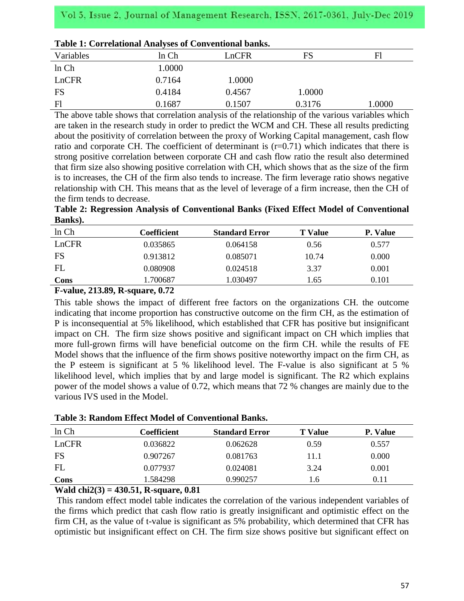|           | Tuble 1: Correlational Trial (bes of Conventional Banno) |        |        |        |  |  |
|-----------|----------------------------------------------------------|--------|--------|--------|--|--|
| Variables | ln Ch                                                    | LnCFR  | FS     | Fl     |  |  |
| ln Ch     | 1.0000                                                   |        |        |        |  |  |
| LnCFR     | 0.7164                                                   | 1.0000 |        |        |  |  |
| FS        | 0.4184                                                   | 0.4567 | 1.0000 |        |  |  |
| F1        | 0.1687                                                   | 0.1507 | 0.3176 | 1.0000 |  |  |

| Table 1: Correlational Analyses of Conventional banks. |  |
|--------------------------------------------------------|--|
|--------------------------------------------------------|--|

The above table shows that correlation analysis of the relationship of the various variables which are taken in the research study in order to predict the WCM and CH. These all results predicting about the positivity of correlation between the proxy of Working Capital management, cash flow ratio and corporate CH. The coefficient of determinant is  $(r=0.71)$  which indicates that there is strong positive correlation between corporate CH and cash flow ratio the result also determined that firm size also showing positive correlation with CH, which shows that as the size of the firm is to increases, the CH of the firm also tends to increase. The firm leverage ratio shows negative relationship with CH. This means that as the level of leverage of a firm increase, then the CH of the firm tends to decrease.

**Table 2: Regression Analysis of Conventional Banks (Fixed Effect Model of Conventional Banks).**

| ln Ch | Coefficient | <b>Standard Error</b> | T Value | P. Value |
|-------|-------------|-----------------------|---------|----------|
| LnCFR | 0.035865    | 0.064158              | 0.56    | 0.577    |
| FS    | 0.913812    | 0.085071              | 10.74   | 0.000    |
| FL    | 0.080908    | 0.024518              | 3.37    | 0.001    |
| Cons  | l.700687    | 1.030497              | 1.65    | 0.101    |

## **F-value, 213.89, R-square, 0.72**

This table shows the impact of different free factors on the organizations CH. the outcome indicating that income proportion has constructive outcome on the firm CH, as the estimation of P is inconsequential at 5% likelihood, which established that CFR has positive but insignificant impact on CH. The firm size shows positive and significant impact on CH which implies that more full-grown firms will have beneficial outcome on the firm CH. while the results of FE Model shows that the influence of the firm shows positive noteworthy impact on the firm CH, as the P esteem is significant at 5 % likelihood level. The F-value is also significant at 5 % likelihood level, which implies that by and large model is significant. The R2 which explains power of the model shows a value of 0.72, which means that 72 % changes are mainly due to the various IVS used in the Model.

|  |  |  |  |  |  | <b>Table 3: Random Effect Model of Conventional Banks.</b> |  |
|--|--|--|--|--|--|------------------------------------------------------------|--|
|--|--|--|--|--|--|------------------------------------------------------------|--|

| ln Ch | Coefficient | <b>Standard Error</b> | <b>T</b> Value | P. Value |
|-------|-------------|-----------------------|----------------|----------|
| LnCFR | 0.036822    | 0.062628              | 0.59           | 0.557    |
| FS    | 0.907267    | 0.081763              | 11.1           | 0.000    |
| FL    | 0.077937    | 0.024081              | 3.24           | 0.001    |
| Cons  | 1.584298    | 0.990257              | 1.6            | 0.11     |

# **Wald chi2(3) = 430.51, R-square, 0.81**

This random effect model table indicates the correlation of the various independent variables of the firms which predict that cash flow ratio is greatly insignificant and optimistic effect on the firm CH, as the value of t-value is significant as 5% probability, which determined that CFR has optimistic but insignificant effect on CH. The firm size shows positive but significant effect on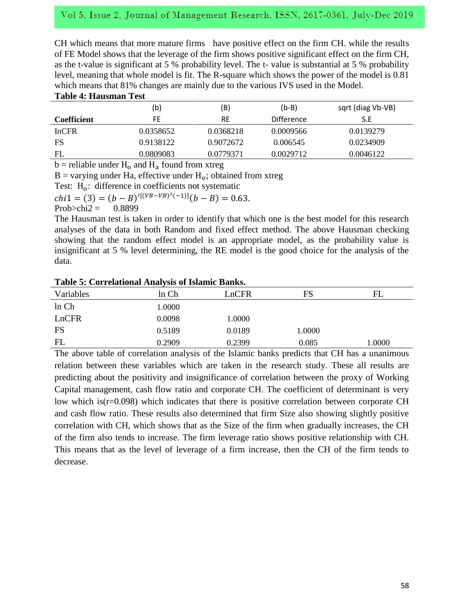# Vol 5, Issue 2, Journal of Management Research, ISSN, 2617-0361, July-Dec 2019

CH which means that more mature firms have positive effect on the firm CH. while the results of FE Model shows that the leverage of the firm shows positive significant effect on the firm CH, as the t-value is significant at 5 % probability level. The t- value is substantial at 5 % probability level, meaning that whole model is fit. The R-square which shows the power of the model is 0.81 which means that 81% changes are mainly due to the various IVS used in the Model.

#### **Table 4: Hausman Test**

|                    | (b)       | (B)       | $(b-B)$           | sqrt (diag Vb-VB) |
|--------------------|-----------|-----------|-------------------|-------------------|
| <b>Coefficient</b> | FE        | RE        | <b>Difference</b> | S.E               |
| InCFR              | 0.0358652 | 0.0368218 | 0.0009566         | 0.0139279         |
| FS                 | 0.9138122 | 0.9072672 | 0.006545          | 0.0234909         |
| FL                 | 0.0809083 | 0.0779371 | 0.0029712         | 0.0046122         |

 $b$  = reliable under  $H_0$  and  $H_a$  found from xtreg

 $B =$  varying under Ha, effective under H<sub>o</sub>; obtained from xtreg

Test:  $H_0$ : difference in coefficients not systematic

 $chi1 = (3) = (b - B)^{r[(VB - VB)^{k}(-1)]}($ 

Prob $\ge$ chi2 = 0.8899

The Hausman test is taken in order to identify that which one is the best model for this research analyses of the data in both Random and fixed effect method. The above Hausman checking showing that the random effect model is an appropriate model, as the probability value is insignificant at 5 % level determining, the RE model is the good choice for the analysis of the data.

#### **Table 5: Correlational Analysis of Islamic Banks.**

| Variables | ln Ch  | LnCFR  | FS     | FL     |
|-----------|--------|--------|--------|--------|
| ln Ch     | 1.0000 |        |        |        |
| LnCFR     | 0.0098 | 1.0000 |        |        |
| FS        | 0.5189 | 0.0189 | 1.0000 |        |
| FL        | 0.2909 | 0.2399 | 0.085  | 1.0000 |

The above table of correlation analysis of the Islamic banks predicts that CH has a unanimous relation between these variables which are taken in the research study. These all results are predicting about the positivity and insignificance of correlation between the proxy of Working Capital management, cash flow ratio and corporate CH. The coefficient of determinant is very low which is(r=0.098) which indicates that there is positive correlation between corporate CH and cash flow ratio. These results also determined that firm Size also showing slightly positive correlation with CH, which shows that as the Size of the firm when gradually increases, the CH of the firm also tends to increase. The firm leverage ratio shows positive relationship with CH. This means that as the level of leverage of a firm increase, then the CH of the firm tends to decrease.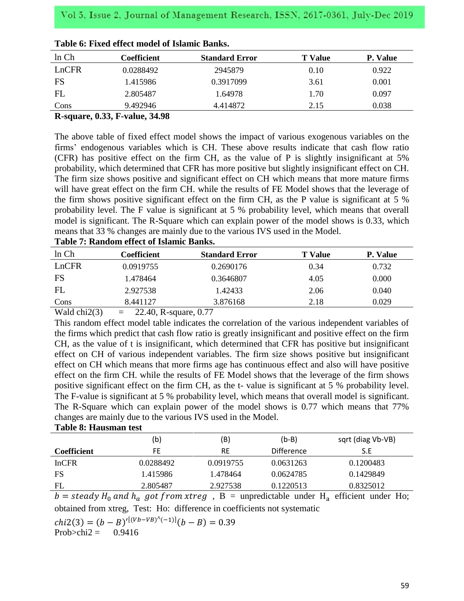| ln Ch | Coefficient | <b>Standard Error</b> | <b>T</b> Value | P. Value |
|-------|-------------|-----------------------|----------------|----------|
| LnCFR | 0.0288492   | 2945879               | 0.10           | 0.922    |
| FS    | 1.415986    | 0.3917099             | 3.61           | 0.001    |
| FL    | 2.805487    | 1.64978               | 1.70           | 0.097    |
| Cons  | 9.492946    | 4.414872              | 2.15           | 0.038    |

#### **R-square, 0.33, F-value, 34.98**

The above table of fixed effect model shows the impact of various exogenous variables on the firms' endogenous variables which is CH. These above results indicate that cash flow ratio (CFR) has positive effect on the firm CH, as the value of P is slightly insignificant at 5% probability, which determined that CFR has more positive but slightly insignificant effect on CH. The firm size shows positive and significant effect on CH which means that more mature firms will have great effect on the firm CH. while the results of FE Model shows that the leverage of the firm shows positive significant effect on the firm CH, as the P value is significant at 5 % probability level. The F value is significant at 5 % probability level, which means that overall model is significant. The R-Square which can explain power of the model shows is 0.33, which means that 33 % changes are mainly due to the various IVS used in the Model.

| ln Ch | Coefficient | <b>Standard Error</b> | <b>T</b> Value | P. Value |
|-------|-------------|-----------------------|----------------|----------|
| LnCFR | 0.0919755   | 0.2690176             | 0.34           | 0.732    |
| FS    | 1.478464    | 0.3646807             | 4.05           | 0.000    |
| FL    | 2.927538    | 1.42433               | 2.06           | 0.040    |
| Cons  | 8.441127    | 3.876168              | 2.18           | 0.029    |
|       |             |                       |                |          |

## **Table 7: Random effect of Islamic Banks.**

Wald chi2(3)  $= 22.40$ , R-square, 0.77

This random effect model table indicates the correlation of the various independent variables of the firms which predict that cash flow ratio is greatly insignificant and positive effect on the firm CH, as the value of t is insignificant, which determined that CFR has positive but insignificant effect on CH of various independent variables. The firm size shows positive but insignificant effect on CH which means that more firms age has continuous effect and also will have positive effect on the firm CH. while the results of FE Model shows that the leverage of the firm shows positive significant effect on the firm CH, as the t- value is significant at 5 % probability level. The F-value is significant at 5 % probability level, which means that overall model is significant. The R-Square which can explain power of the model shows is 0.77 which means that 77% changes are mainly due to the various IVS used in the Model.

#### **Table 8: Hausman test**

|              | b)        | (B)       | $(b-B)$           | sqrt (diag Vb-VB) |
|--------------|-----------|-----------|-------------------|-------------------|
| Coefficient  | FE.       | <b>RE</b> | <b>Difference</b> | S.E               |
| <b>InCFR</b> | 0.0288492 | 0.0919755 | 0.0631263         | 0.1200483         |
| FS           | 1.415986  | 1.478464  | 0.0624785         | 0.1429849         |
| FL           | 2.805487  | 2.927538  | 0.1220513         | 0.8325012         |

 $b = \text{steady } H_0$  and  $h_a$  got from xtreg,  $B =$  unpredictable under H<sub>a</sub> efficient under Ho; obtained from xtreg, Test: Ho: difference in coefficients not systematic

 $chi2(3) = (b - B)^{r[(Vb - VB)^{r}(-1)]}($ 

Prob $\ge$ chi2 = 0.9416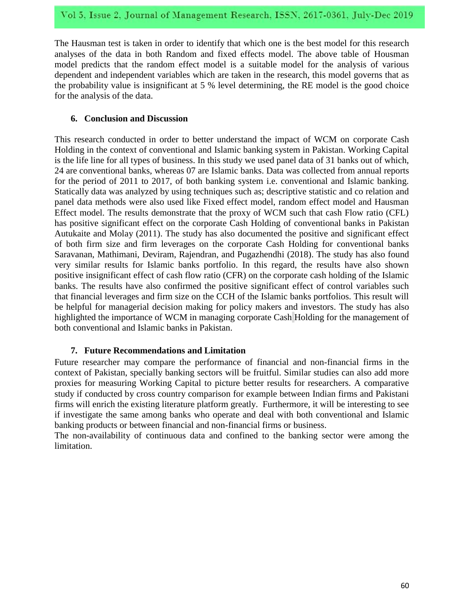The Hausman test is taken in order to identify that which one is the best model for this research analyses of the data in both Random and fixed effects model. The above table of Housman model predicts that the random effect model is a suitable model for the analysis of various dependent and independent variables which are taken in the research, this model governs that as the probability value is insignificant at 5 % level determining, the RE model is the good choice for the analysis of the data.

## **6. Conclusion and Discussion**

This research conducted in order to better understand the impact of WCM on corporate Cash Holding in the context of conventional and Islamic banking system in Pakistan. Working Capital is the life line for all types of business. In this study we used panel data of 31 banks out of which, 24 are conventional banks, whereas 07 are Islamic banks. Data was collected from annual reports for the period of 2011 to 2017, of both banking system i.e. conventional and Islamic banking. Statically data was analyzed by using techniques such as; descriptive statistic and co relation and panel data methods were also used like Fixed effect model, random effect model and Hausman Effect model. The results demonstrate that the proxy of WCM such that cash Flow ratio (CFL) has positive significant effect on the corporate Cash Holding of conventional banks in Pakistan Autukaite and Molay (2011). The study has also documented the positive and significant effect of both firm size and firm leverages on the corporate Cash Holding for conventional banks Saravanan, Mathimani, Deviram, Rajendran, and Pugazhendhi (2018). The study has also found very similar results for Islamic banks portfolio. In this regard, the results have also shown positive insignificant effect of cash flow ratio (CFR) on the corporate cash holding of the Islamic banks. The results have also confirmed the positive significant effect of control variables such that financial leverages and firm size on the CCH of the Islamic banks portfolios. This result will be helpful for managerial decision making for policy makers and investors. The study has also highlighted the importance of WCM in managing corporate Cash Holding for the management of both conventional and Islamic banks in Pakistan.

## **7. Future Recommendations and Limitation**

Future researcher may compare the performance of financial and non-financial firms in the context of Pakistan, specially banking sectors will be fruitful. Similar studies can also add more proxies for measuring Working Capital to picture better results for researchers. A comparative study if conducted by cross country comparison for example between Indian firms and Pakistani firms will enrich the existing literature platform greatly. Furthermore, it will be interesting to see if investigate the same among banks who operate and deal with both conventional and Islamic banking products or between financial and non-financial firms or business.

The non-availability of continuous data and confined to the banking sector were among the limitation.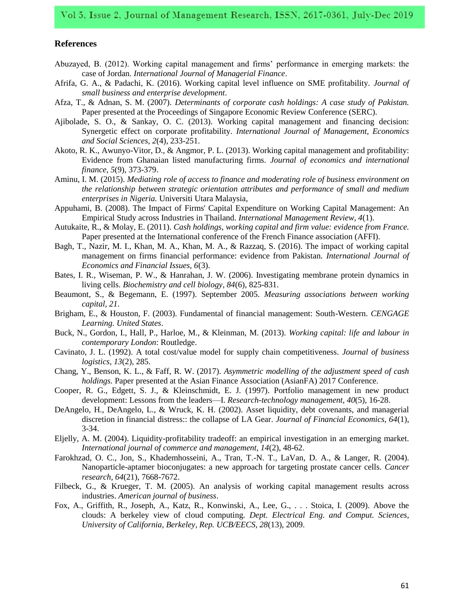#### **References**

- Abuzayed, B. (2012). Working capital management and firms' performance in emerging markets: the case of Jordan. *International Journal of Managerial Finance*.
- Afrifa, G. A., & Padachi, K. (2016). Working capital level influence on SME profitability. *Journal of small business and enterprise development*.
- Afza, T., & Adnan, S. M. (2007). *Determinants of corporate cash holdings: A case study of Pakistan.* Paper presented at the Proceedings of Singapore Economic Review Conference (SERC).
- Ajibolade, S. O., & Sankay, O. C. (2013). Working capital management and financing decision: Synergetic effect on corporate profitability. *International Journal of Management, Economics and Social Sciences, 2*(4), 233-251.
- Akoto, R. K., Awunyo-Vitor, D., & Angmor, P. L. (2013). Working capital management and profitability: Evidence from Ghanaian listed manufacturing firms. *Journal of economics and international finance, 5*(9), 373-379.
- Aminu, I. M. (2015). *Mediating role of access to finance and moderating role of business environment on the relationship between strategic orientation attributes and performance of small and medium enterprises in Nigeria.* Universiti Utara Malaysia,
- Appuhami, B. (2008). The Impact of Firms' Capital Expenditure on Working Capital Management: An Empirical Study across Industries in Thailand. *International Management Review, 4*(1).
- Autukaite, R., & Molay, E. (2011). *Cash holdings, working capital and firm value: evidence from France.* Paper presented at the International conference of the French Finance association (AFFI).
- Bagh, T., Nazir, M. I., Khan, M. A., Khan, M. A., & Razzaq, S. (2016). The impact of working capital management on firms financial performance: evidence from Pakistan. *International Journal of Economics and Financial Issues, 6*(3).
- Bates, I. R., Wiseman, P. W., & Hanrahan, J. W. (2006). Investigating membrane protein dynamics in living cells. *Biochemistry and cell biology, 84*(6), 825-831.
- Beaumont, S., & Begemann, E. (1997). September 2005. *Measuring associations between working capital, 21*.
- Brigham, E., & Houston, F. (2003). Fundamental of financial management: South-Western. *CENGAGE Learning. United States*.
- Buck, N., Gordon, I., Hall, P., Harloe, M., & Kleinman, M. (2013). *Working capital: life and labour in contemporary London*: Routledge.
- Cavinato, J. L. (1992). A total cost/value model for supply chain competitiveness. *Journal of business logistics, 13*(2), 285.
- Chang, Y., Benson, K. L., & Faff, R. W. (2017). *Asymmetric modelling of the adjustment speed of cash holdings.* Paper presented at the Asian Finance Association (AsianFA) 2017 Conference.
- Cooper, R. G., Edgett, S. J., & Kleinschmidt, E. J. (1997). Portfolio management in new product development: Lessons from the leaders—I. *Research-technology management, 40*(5), 16-28.
- DeAngelo, H., DeAngelo, L., & Wruck, K. H. (2002). Asset liquidity, debt covenants, and managerial discretion in financial distress:: the collapse of LA Gear. *Journal of Financial Economics, 64*(1), 3-34.
- Eljelly, A. M. (2004). Liquidity-profitability tradeoff: an empirical investigation in an emerging market. *International journal of commerce and management, 14*(2), 48-62.
- Farokhzad, O. C., Jon, S., Khademhosseini, A., Tran, T.-N. T., LaVan, D. A., & Langer, R. (2004). Nanoparticle-aptamer bioconjugates: a new approach for targeting prostate cancer cells. *Cancer research, 64*(21), 7668-7672.
- Filbeck, G., & Krueger, T. M. (2005). An analysis of working capital management results across industries. *American journal of business*.
- Fox, A., Griffith, R., Joseph, A., Katz, R., Konwinski, A., Lee, G., . . . Stoica, I. (2009). Above the clouds: A berkeley view of cloud computing. *Dept. Electrical Eng. and Comput. Sciences, University of California, Berkeley, Rep. UCB/EECS, 28*(13), 2009.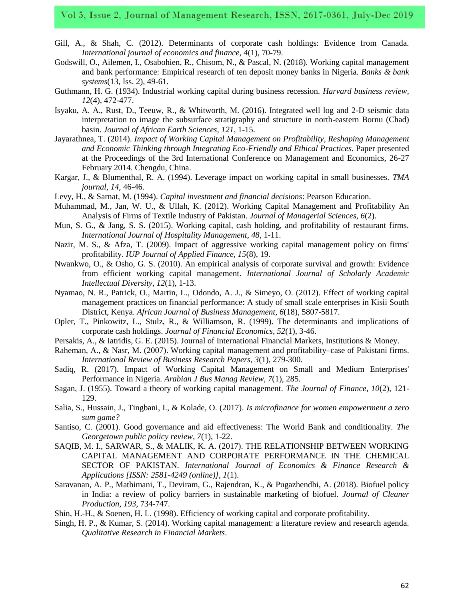- Gill, A., & Shah, C. (2012). Determinants of corporate cash holdings: Evidence from Canada. *International journal of economics and finance, 4*(1), 70-79.
- Godswill, O., Ailemen, I., Osabohien, R., Chisom, N., & Pascal, N. (2018). Working capital management and bank performance: Empirical research of ten deposit money banks in Nigeria. *Banks & bank systems*(13, Iss. 2), 49-61.
- Guthmann, H. G. (1934). Industrial working capital during business recession. *Harvard business review, 12*(4), 472-477.
- Isyaku, A. A., Rust, D., Teeuw, R., & Whitworth, M. (2016). Integrated well log and 2-D seismic data interpretation to image the subsurface stratigraphy and structure in north-eastern Bornu (Chad) basin. *Journal of African Earth Sciences, 121*, 1-15.
- Jayarathnea, T. (2014). *Impact of Working Capital Management on Profitability, Reshaping Management and Economic Thinking through Integrating Eco-Friendly and Ethical Practices.* Paper presented at the Proceedings of the 3rd International Conference on Management and Economics, 26-27 February 2014. Chengdu, China.
- Kargar, J., & Blumenthal, R. A. (1994). Leverage impact on working capital in small businesses. *TMA journal, 14*, 46-46.
- Levy, H., & Sarnat, M. (1994). *Capital investment and financial decisions*: Pearson Education.
- Muhammad, M., Jan, W. U., & Ullah, K. (2012). Working Capital Management and Profitability An Analysis of Firms of Textile Industry of Pakistan. *Journal of Managerial Sciences, 6*(2).
- Mun, S. G., & Jang, S. S. (2015). Working capital, cash holding, and profitability of restaurant firms. *International Journal of Hospitality Management, 48*, 1-11.
- Nazir, M. S., & Afza, T. (2009). Impact of aggressive working capital management policy on firms' profitability. *IUP Journal of Applied Finance, 15*(8), 19.
- Nwankwo, O., & Osho, G. S. (2010). An empirical analysis of corporate survival and growth: Evidence from efficient working capital management. *International Journal of Scholarly Academic Intellectual Diversity, 12*(1), 1-13.
- Nyamao, N. R., Patrick, O., Martin, L., Odondo, A. J., & Simeyo, O. (2012). Effect of working capital management practices on financial performance: A study of small scale enterprises in Kisii South District, Kenya. *African Journal of Business Management, 6*(18), 5807-5817.
- Opler, T., Pinkowitz, L., Stulz, R., & Williamson, R. (1999). The determinants and implications of corporate cash holdings. *Journal of Financial Economics, 52*(1), 3-46.
- Persakis, A., & Iatridis, G. E. (2015). Journal of International Financial Markets, Institutions & Money.
- Raheman, A., & Nasr, M. (2007). Working capital management and profitability–case of Pakistani firms. *International Review of Business Research Papers, 3*(1), 279-300.
- Sadiq, R. (2017). Impact of Working Capital Management on Small and Medium Enterprises' Performance in Nigeria. *Arabian J Bus Manag Review, 7*(1), 285.
- Sagan, J. (1955). Toward a theory of working capital management. *The Journal of Finance, 10*(2), 121- 129.
- Salia, S., Hussain, J., Tingbani, I., & Kolade, O. (2017). *Is microfinance for women empowerment a zero sum game?*
- Santiso, C. (2001). Good governance and aid effectiveness: The World Bank and conditionality. *The Georgetown public policy review, 7*(1), 1-22.
- SAQIB, M. I., SARWAR, S., & MALIK, K. A. (2017). THE RELATIONSHIP BETWEEN WORKING CAPITAL MANAGEMENT AND CORPORATE PERFORMANCE IN THE CHEMICAL SECTOR OF PAKISTAN. *International Journal of Economics & Finance Research & Applications [ISSN: 2581-4249 (online)], 1*(1).
- Saravanan, A. P., Mathimani, T., Deviram, G., Rajendran, K., & Pugazhendhi, A. (2018). Biofuel policy in India: a review of policy barriers in sustainable marketing of biofuel. *Journal of Cleaner Production, 193*, 734-747.
- Shin, H.-H., & Soenen, H. L. (1998). Efficiency of working capital and corporate profitability.
- Singh, H. P., & Kumar, S. (2014). Working capital management: a literature review and research agenda. *Qualitative Research in Financial Markets*.